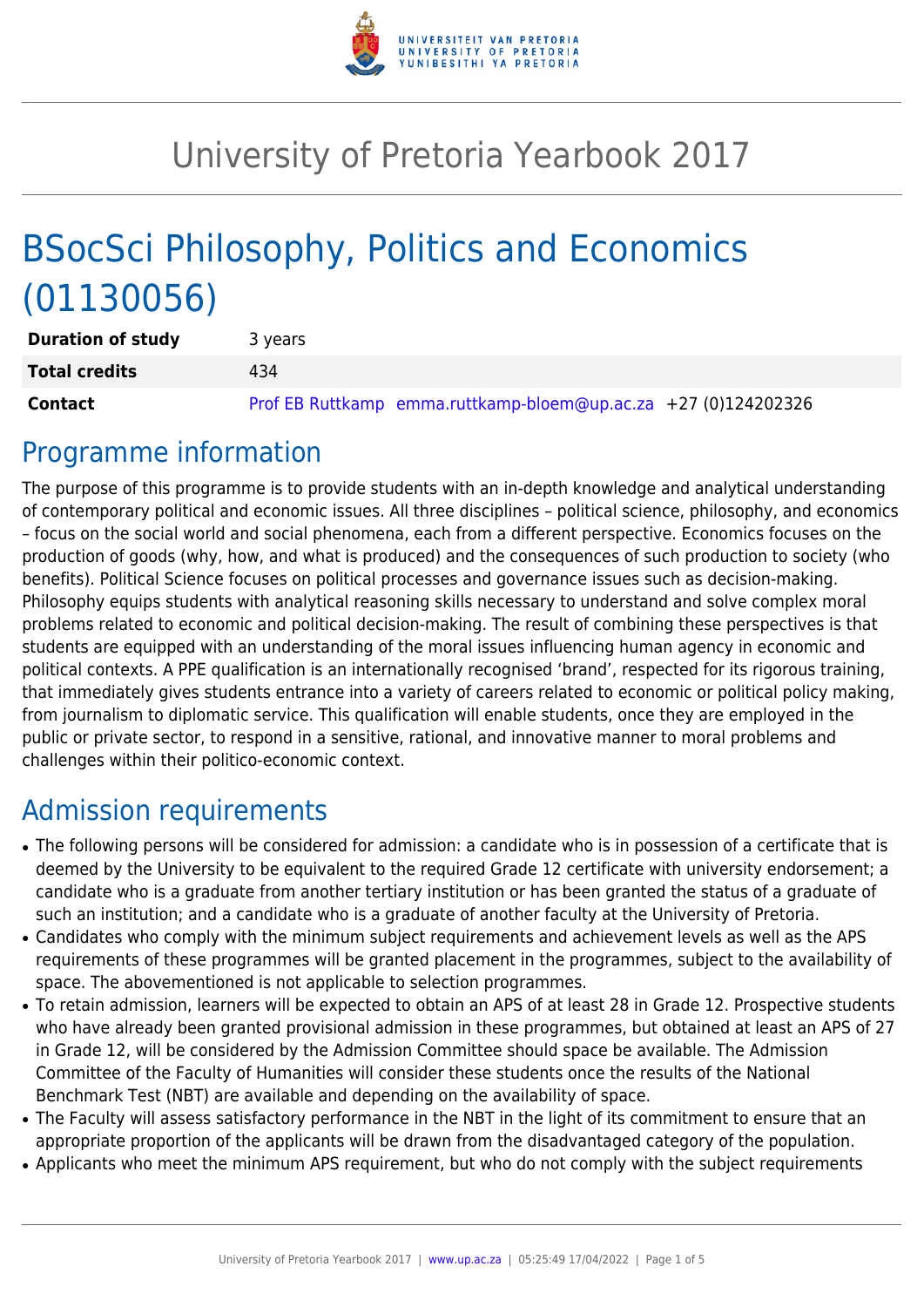

# University of Pretoria Yearbook 2017

# BSocSci Philosophy, Politics and Economics (01130056)

| <b>Duration of study</b> | 3 years                                                        |  |  |  |  |  |  |
|--------------------------|----------------------------------------------------------------|--|--|--|--|--|--|
| <b>Total credits</b>     | 434                                                            |  |  |  |  |  |  |
| <b>Contact</b>           | Prof EB Ruttkamp emma.ruttkamp-bloem@up.ac.za +27 (0)124202326 |  |  |  |  |  |  |

## Programme information

The purpose of this programme is to provide students with an in-depth knowledge and analytical understanding of contemporary political and economic issues. All three disciplines – political science, philosophy, and economics – focus on the social world and social phenomena, each from a different perspective. Economics focuses on the production of goods (why, how, and what is produced) and the consequences of such production to society (who benefits). Political Science focuses on political processes and governance issues such as decision-making. Philosophy equips students with analytical reasoning skills necessary to understand and solve complex moral problems related to economic and political decision-making. The result of combining these perspectives is that students are equipped with an understanding of the moral issues influencing human agency in economic and political contexts. A PPE qualification is an internationally recognised 'brand', respected for its rigorous training, that immediately gives students entrance into a variety of careers related to economic or political policy making, from journalism to diplomatic service. This qualification will enable students, once they are employed in the public or private sector, to respond in a sensitive, rational, and innovative manner to moral problems and challenges within their politico-economic context.

# Admission requirements

- The following persons will be considered for admission: a candidate who is in possession of a certificate that is deemed by the University to be equivalent to the required Grade 12 certificate with university endorsement; a candidate who is a graduate from another tertiary institution or has been granted the status of a graduate of such an institution; and a candidate who is a graduate of another faculty at the University of Pretoria.
- Candidates who comply with the minimum subject requirements and achievement levels as well as the APS requirements of these programmes will be granted placement in the programmes, subject to the availability of space. The abovementioned is not applicable to selection programmes.
- To retain admission, learners will be expected to obtain an APS of at least 28 in Grade 12. Prospective students who have already been granted provisional admission in these programmes, but obtained at least an APS of 27 in Grade 12, will be considered by the Admission Committee should space be available. The Admission Committee of the Faculty of Humanities will consider these students once the results of the National Benchmark Test (NBT) are available and depending on the availability of space.
- The Faculty will assess satisfactory performance in the NBT in the light of its commitment to ensure that an appropriate proportion of the applicants will be drawn from the disadvantaged category of the population.
- Applicants who meet the minimum APS requirement, but who do not comply with the subject requirements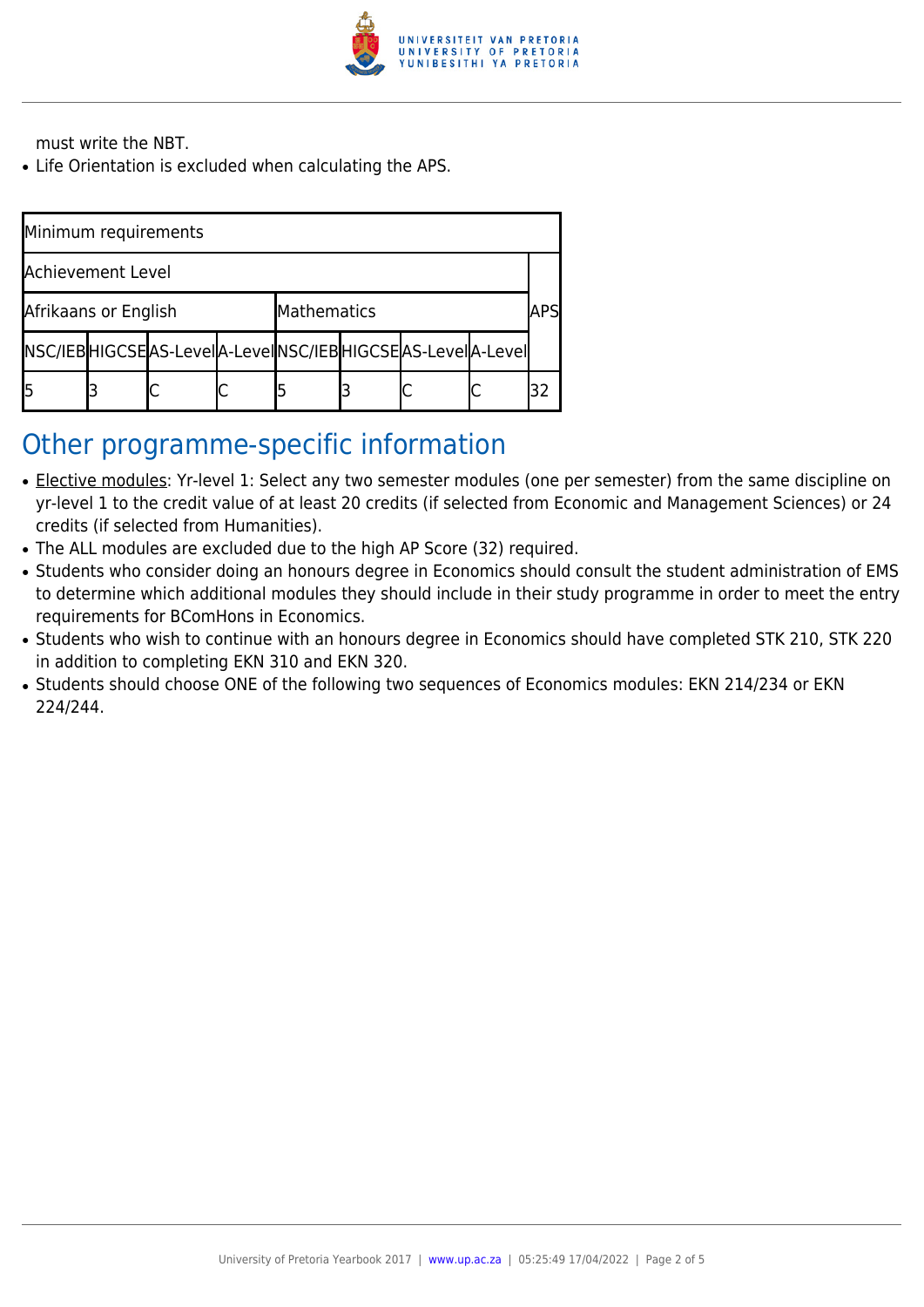

must write the NBT.

• Life Orientation is excluded when calculating the APS.

| Minimum requirements |  |                                                                 |             |  |  |  |     |  |  |  |
|----------------------|--|-----------------------------------------------------------------|-------------|--|--|--|-----|--|--|--|
| Achievement Level    |  |                                                                 |             |  |  |  |     |  |  |  |
| Afrikaans or English |  |                                                                 | Mathematics |  |  |  | APS |  |  |  |
|                      |  | NSC/IEB HIGCSE AS-Level A-Level NSC/IEB HIGCSE AS-Level A-Level |             |  |  |  |     |  |  |  |
|                      |  |                                                                 |             |  |  |  |     |  |  |  |

### Other programme-specific information

- Elective modules: Yr-level 1: Select any two semester modules (one per semester) from the same discipline on yr-level 1 to the credit value of at least 20 credits (if selected from Economic and Management Sciences) or 24 credits (if selected from Humanities).
- The ALL modules are excluded due to the high AP Score (32) required.
- Students who consider doing an honours degree in Economics should consult the student administration of EMS to determine which additional modules they should include in their study programme in order to meet the entry requirements for BComHons in Economics.
- Students who wish to continue with an honours degree in Economics should have completed STK 210, STK 220 in addition to completing EKN 310 and EKN 320.
- Students should choose ONE of the following two sequences of Economics modules: EKN 214/234 or EKN 224/244.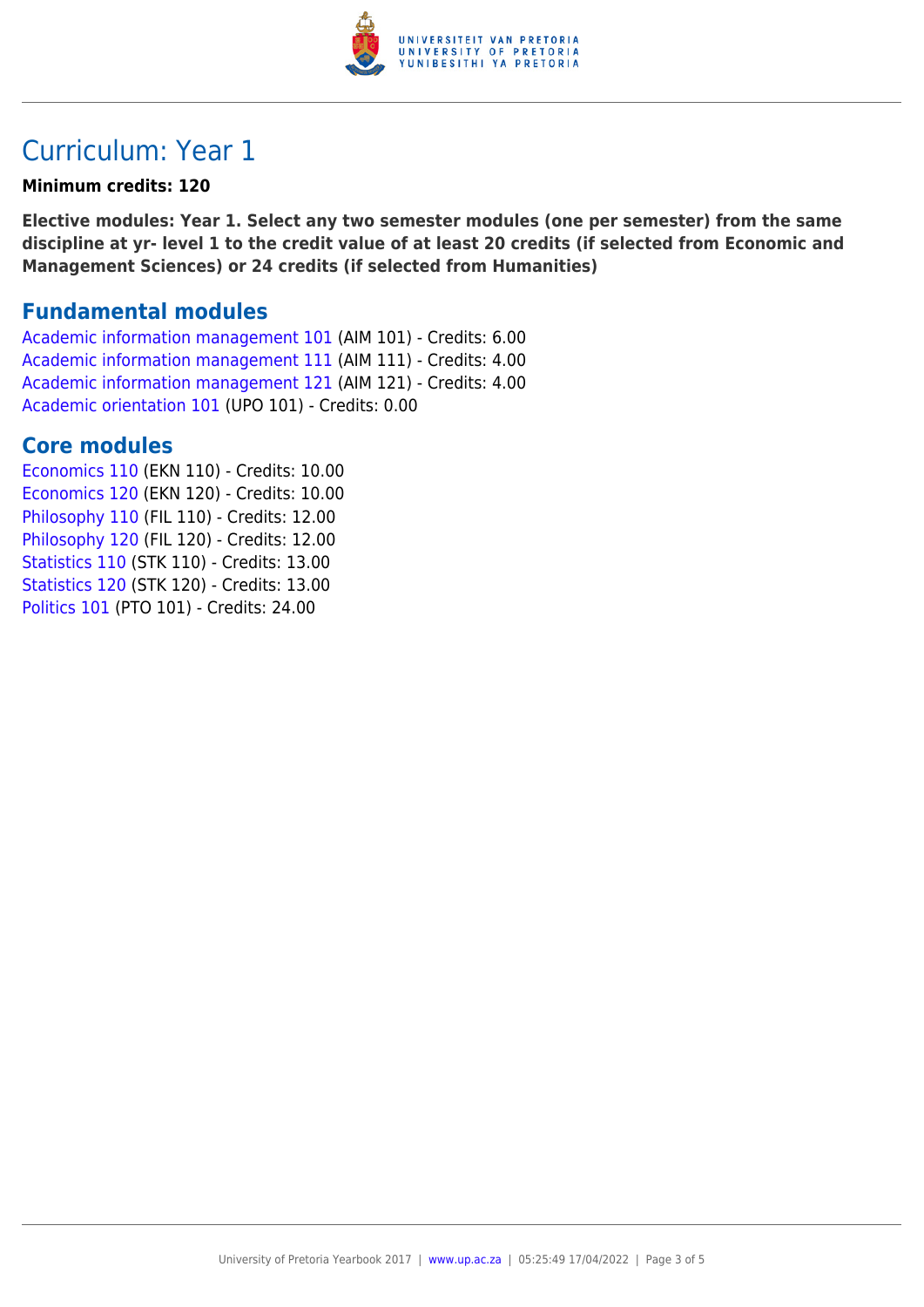

## Curriculum: Year 1

#### **Minimum credits: 120**

**Elective modules: Year 1. Select any two semester modules (one per semester) from the same discipline at yr- level 1 to the credit value of at least 20 credits (if selected from Economic and Management Sciences) or 24 credits (if selected from Humanities)**

### **Fundamental modules**

[Academic information management 101](https://www.up.ac.za/parents/yearbooks/2017/modules/view/AIM 101) (AIM 101) - Credits: 6.00 [Academic information management 111](https://www.up.ac.za/parents/yearbooks/2017/modules/view/AIM 111) (AIM 111) - Credits: 4.00 [Academic information management 121](https://www.up.ac.za/parents/yearbooks/2017/modules/view/AIM 121) (AIM 121) - Credits: 4.00 [Academic orientation 101](https://www.up.ac.za/parents/yearbooks/2017/modules/view/UPO 101) (UPO 101) - Credits: 0.00

### **Core modules**

[Economics 110](https://www.up.ac.za/parents/yearbooks/2017/modules/view/EKN 110) (EKN 110) - Credits: 10.00 [Economics 120](https://www.up.ac.za/parents/yearbooks/2017/modules/view/EKN 120) (EKN 120) - Credits: 10.00 [Philosophy 110](https://www.up.ac.za/parents/yearbooks/2017/modules/view/FIL 110) (FIL 110) - Credits: 12.00 [Philosophy 120](https://www.up.ac.za/parents/yearbooks/2017/modules/view/FIL 120) (FIL 120) - Credits: 12.00 [Statistics 110](https://www.up.ac.za/parents/yearbooks/2017/modules/view/STK 110) (STK 110) - Credits: 13.00 [Statistics 120](https://www.up.ac.za/parents/yearbooks/2017/modules/view/STK 120) (STK 120) - Credits: 13.00 [Politics 101](https://www.up.ac.za/parents/yearbooks/2017/modules/view/PTO 101) (PTO 101) - Credits: 24.00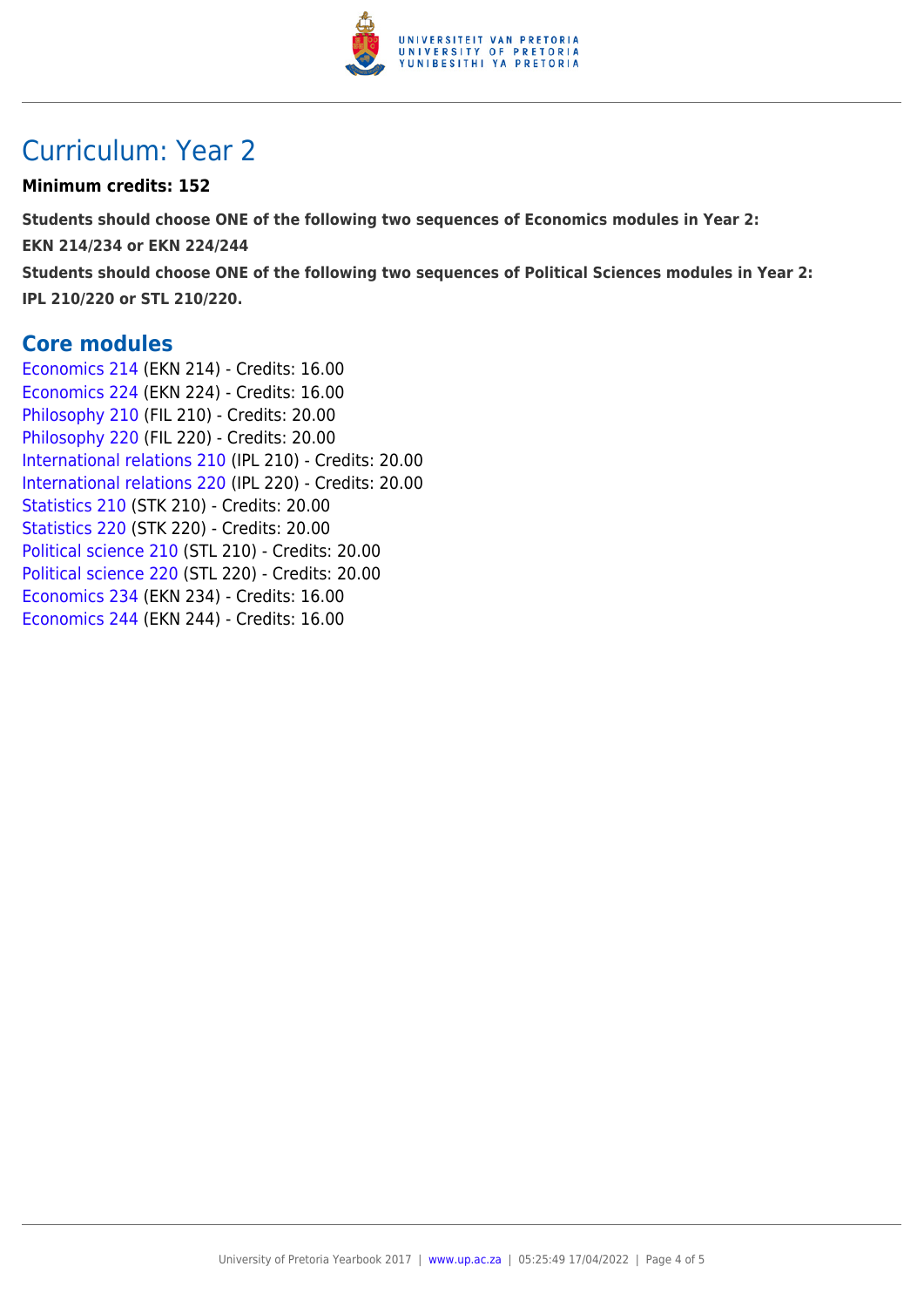

## Curriculum: Year 2

#### **Minimum credits: 152**

**Students should choose ONE of the following two sequences of Economics modules in Year 2: EKN 214/234 or EKN 224/244 Students should choose ONE of the following two sequences of Political Sciences modules in Year 2: IPL 210/220 or STL 210/220.**

**Core modules**

[Economics 214](https://www.up.ac.za/parents/yearbooks/2017/modules/view/EKN 214) (EKN 214) - Credits: 16.00 [Economics 224](https://www.up.ac.za/parents/yearbooks/2017/modules/view/EKN 224) (EKN 224) - Credits: 16.00 [Philosophy 210](https://www.up.ac.za/parents/yearbooks/2017/modules/view/FIL 210) (FIL 210) - Credits: 20.00 [Philosophy 220](https://www.up.ac.za/parents/yearbooks/2017/modules/view/FIL 220) (FIL 220) - Credits: 20.00 [International relations 210](https://www.up.ac.za/parents/yearbooks/2017/modules/view/IPL 210) (IPL 210) - Credits: 20.00 [International relations 220](https://www.up.ac.za/parents/yearbooks/2017/modules/view/IPL 220) (IPL 220) - Credits: 20.00 [Statistics 210](https://www.up.ac.za/parents/yearbooks/2017/modules/view/STK 210) (STK 210) - Credits: 20.00 [Statistics 220](https://www.up.ac.za/parents/yearbooks/2017/modules/view/STK 220) (STK 220) - Credits: 20.00 [Political science 210](https://www.up.ac.za/parents/yearbooks/2017/modules/view/STL 210) (STL 210) - Credits: 20.00 [Political science 220](https://www.up.ac.za/parents/yearbooks/2017/modules/view/STL 220) (STL 220) - Credits: 20.00 [Economics 234](https://www.up.ac.za/parents/yearbooks/2017/modules/view/EKN 234) (EKN 234) - Credits: 16.00 [Economics 244](https://www.up.ac.za/parents/yearbooks/2017/modules/view/EKN 244) (EKN 244) - Credits: 16.00